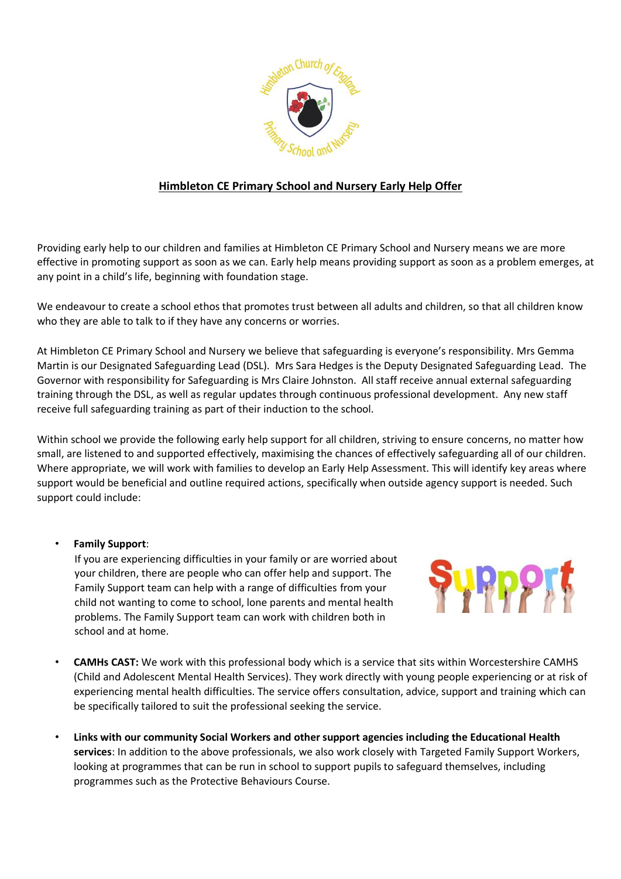

## **Himbleton CE Primary School and Nursery Early Help Offer**

Providing early help to our children and families at Himbleton CE Primary School and Nursery means we are more effective in promoting support as soon as we can. Early help means providing support as soon as a problem emerges, at any point in a child's life, beginning with foundation stage.

We endeavour to create a school ethos that promotes trust between all adults and children, so that all children know who they are able to talk to if they have any concerns or worries.

At Himbleton CE Primary School and Nursery we believe that safeguarding is everyone's responsibility. Mrs Gemma Martin is our Designated Safeguarding Lead (DSL). Mrs Sara Hedges is the Deputy Designated Safeguarding Lead. The Governor with responsibility for Safeguarding is Mrs Claire Johnston. All staff receive annual external safeguarding training through the DSL, as well as regular updates through continuous professional development. Any new staff receive full safeguarding training as part of their induction to the school.

Within school we provide the following early help support for all children, striving to ensure concerns, no matter how small, are listened to and supported effectively, maximising the chances of effectively safeguarding all of our children. Where appropriate, we will work with families to develop an Early Help Assessment. This will identify key areas where support would be beneficial and outline required actions, specifically when outside agency support is needed. Such support could include:

## • **Family Support**:

If you are experiencing difficulties in your family or are worried about your children, there are people who can offer help and support. The Family Support team can help with a range of difficulties from your child not wanting to come to school, lone parents and mental health problems. The Family Support team can work with children both in school and at home.



- **CAMHs CAST:** We work with this professional body which is a service that sits within Worcestershire CAMHS (Child and Adolescent Mental Health Services). They work directly with young people experiencing or at risk of experiencing mental health difficulties. The service offers consultation, advice, support and training which can be specifically tailored to suit the professional seeking the service.
- **Links with our community Social Workers and other support agencies including the Educational Health services**: In addition to the above professionals, we also work closely with Targeted Family Support Workers, looking at programmes that can be run in school to support pupils to safeguard themselves, including programmes such as the Protective Behaviours Course.